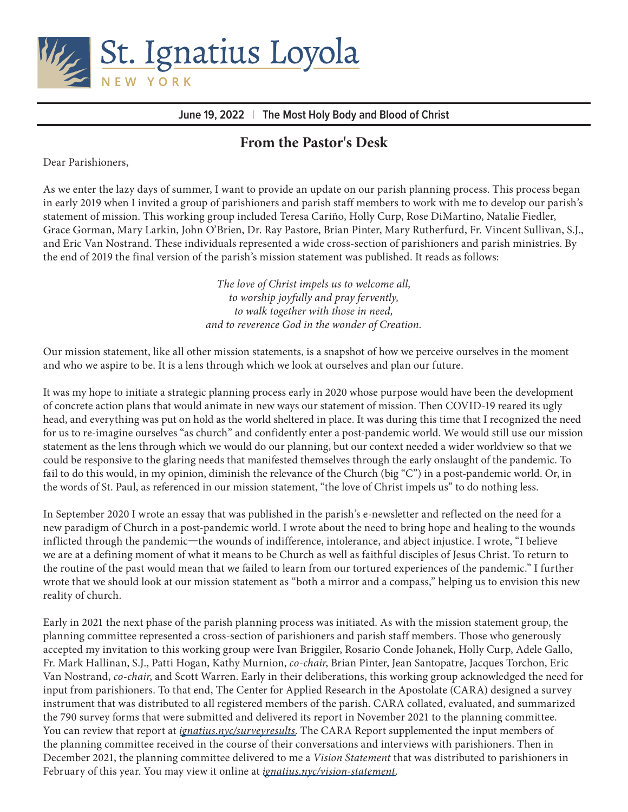

**June 19, 2022** | **The Most Holy Body and Blood of Christ**

# **From the Pastor's Desk**

Dear Parishioners,

As we enter the lazy days of summer, I want to provide an update on our parish planning process. This process began in early 2019 when I invited a group of parishioners and parish staff members to work with me to develop our parish's statement of mission. This working group included Teresa Cariño, Holly Curp, Rose DiMartino, Natalie Fiedler, Grace Gorman, Mary Larkin, John O'Brien, Dr. Ray Pastore, Brian Pinter, Mary Rutherfurd, Fr. Vincent Sullivan, S.J., and Eric Van Nostrand. These individuals represented a wide cross-section of parishioners and parish ministries. By the end of 2019 the final version of the parish's mission statement was published. It reads as follows:

> *The love of Christ impels us to welcome all, to worship joyfully and pray fervently, to walk together with those in need, and to reverence God in the wonder of Creation.*

Our mission statement, like all other mission statements, is a snapshot of how we perceive ourselves in the moment and who we aspire to be. It is a lens through which we look at ourselves and plan our future.

It was my hope to initiate a strategic planning process early in 2020 whose purpose would have been the development of concrete action plans that would animate in new ways our statement of mission. Then COVID-19 reared its ugly head, and everything was put on hold as the world sheltered in place. It was during this time that I recognized the need for us to re-imagine ourselves "as church" and confidently enter a post-pandemic world. We would still use our mission statement as the lens through which we would do our planning, but our context needed a wider worldview so that we could be responsive to the glaring needs that manifested themselves through the early onslaught of the pandemic. To fail to do this would, in my opinion, diminish the relevance of the Church (big "C") in a post-pandemic world. Or, in the words of St. Paul, as referenced in our mission statement, "the love of Christ impels us" to do nothing less.

In September 2020 I wrote an essay that was published in the parish's e-newsletter and reflected on the need for a new paradigm of Church in a post-pandemic world. I wrote about the need to bring hope and healing to the wounds inflicted through the pandemic—the wounds of indifference, intolerance, and abject injustice. I wrote, "I believe we are at a defining moment of what it means to be Church as well as faithful disciples of Jesus Christ. To return to the routine of the past would mean that we failed to learn from our tortured experiences of the pandemic." I further wrote that we should look at our mission statement as "both a mirror and a compass," helping us to envision this new reality of church.

Early in 2021 the next phase of the parish planning process was initiated. As with the mission statement group, the planning committee represented a cross-section of parishioners and parish staff members. Those who generously accepted my invitation to this working group were Ivan Briggiler, Rosario Conde Johanek, Holly Curp, Adele Gallo, Fr. Mark Hallinan, S.J., Patti Hogan, Kathy Murnion, *co-chair*, Brian Pinter, Jean Santopatre, Jacques Torchon, Eric Van Nostrand, *co-chair*, and Scott Warren. Early in their deliberations, this working group acknowledged the need for input from parishioners. To that end, The Center for Applied Research in the Apostolate (CARA) designed a survey instrument that was distributed to all registered members of the parish. CARA collated, evaluated, and summarized the 790 survey forms that were submitted and delivered its report in November 2021 to the planning committee. You can review that report at *[ignatius.nyc/surveyresults](https://ignatius.nyc/wp-content/uploads/2022/02/surveyresults.pdf)*. The CARA Report supplemented the input members of the planning committee received in the course of their conversations and interviews with parishioners. Then in December 2021, the planning committee delivered to me a *Vision Statement* that was distributed to parishioners in February of this year. You may view it online at *[ignatius.nyc/vision-statement](https://ignatius.nyc/wp-content/uploads/2022/06/Vision-Statement.pdf)*.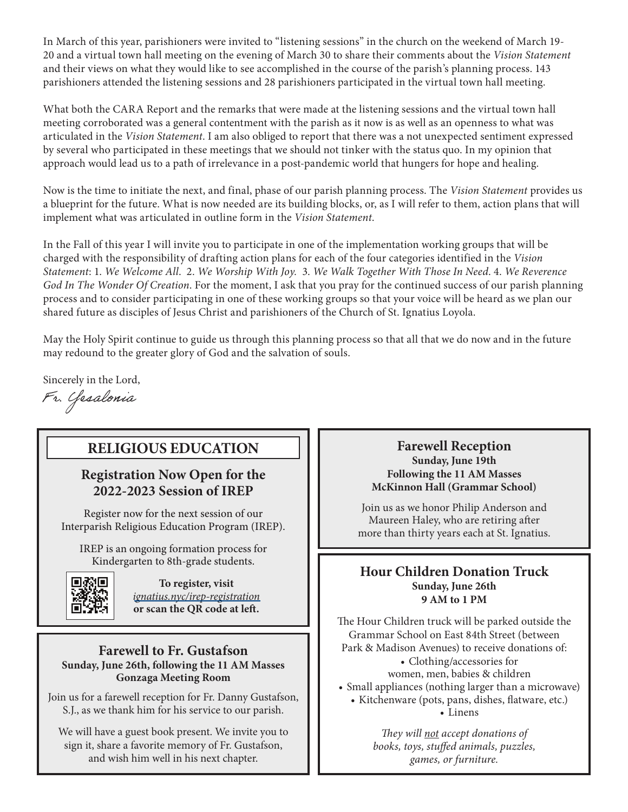In March of this year, parishioners were invited to "listening sessions" in the church on the weekend of March 19- 20 and a virtual town hall meeting on the evening of March 30 to share their comments about the *Vision Statement* and their views on what they would like to see accomplished in the course of the parish's planning process. 143 parishioners attended the listening sessions and 28 parishioners participated in the virtual town hall meeting.

What both the CARA Report and the remarks that were made at the listening sessions and the virtual town hall meeting corroborated was a general contentment with the parish as it now is as well as an openness to what was articulated in the *Vision Statement*. I am also obliged to report that there was a not unexpected sentiment expressed by several who participated in these meetings that we should not tinker with the status quo. In my opinion that approach would lead us to a path of irrelevance in a post-pandemic world that hungers for hope and healing.

Now is the time to initiate the next, and final, phase of our parish planning process. The *Vision Statement* provides us a blueprint for the future. What is now needed are its building blocks, or, as I will refer to them, action plans that will implement what was articulated in outline form in the *Vision Statement*.

In the Fall of this year I will invite you to participate in one of the implementation working groups that will be charged with the responsibility of drafting action plans for each of the four categories identified in the *Vision Statement*: 1. *We Welcome All*. 2. *We Worship With Joy.* 3. *We Walk Together With Those In Need*. 4. *We Reverence God In The Wonder Of Creation*. For the moment, I ask that you pray for the continued success of our parish planning process and to consider participating in one of these working groups so that your voice will be heard as we plan our shared future as disciples of Jesus Christ and parishioners of the Church of St. Ignatius Loyola.

May the Holy Spirit continue to guide us through this planning process so that all that we do now and in the future may redound to the greater glory of God and the salvation of souls.

Sincerely in the Lord,

Fr. Yesalonia

## **RELIGIOUS EDUCATION**

### **Registration Now Open for the 2022-2023 Session of IREP**

Register now for the next session of our Interparish Religious Education Program (IREP).

IREP is an ongoing formation process for Kindergarten to 8th-grade students.



**To register, visit**  *[ignatius.nyc/irep-registration](https://ignatius.nyc/faith-life/religious-education/irep-registration/)*  **or scan the QR code at left.**

#### **Farewell to Fr. Gustafson Sunday, June 26th, following the 11 AM Masses Gonzaga Meeting Room**

Join us for a farewell reception for Fr. Danny Gustafson, S.J., as we thank him for his service to our parish.

We will have a guest book present. We invite you to sign it, share a favorite memory of Fr. Gustafson, and wish him well in his next chapter.

#### **Farewell Reception Sunday, June 19th Following the 11 AM Masses McKinnon Hall (Grammar School)**

Join us as we honor Philip Anderson and Maureen Haley, who are retiring after more than thirty years each at St. Ignatius.

#### **Hour Children Donation Truck Sunday, June 26th 9 AM to 1 PM**

The Hour Children truck will be parked outside the Grammar School on East 84th Street (between Park & Madison Avenues) to receive donations of:

> • Clothing/accessories for women, men, babies & children

- Small appliances (nothing larger than a microwave)
	- Kitchenware (pots, pans, dishes, flatware, etc.) • Linens

*They will not accept donations of books, toys, stuffed animals, puzzles, games, or furniture.*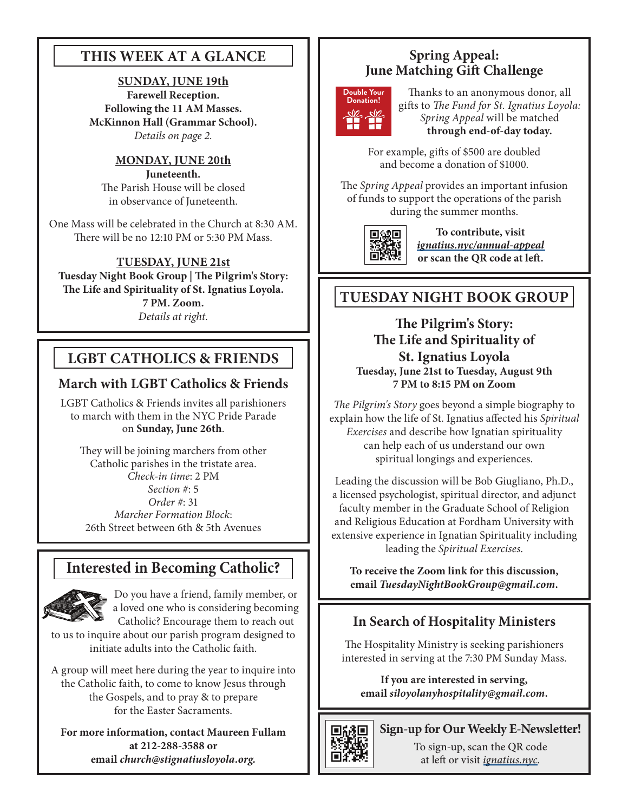## **THIS WEEK AT A GLANCE**

**SUNDAY, JUNE 19th Farewell Reception. Following the 11 AM Masses. McKinnon Hall (Grammar School).**  *Details on page 2.*

#### **MONDAY, JUNE 20th Juneteenth.**

The Parish House will be closed in observance of Juneteenth.

One Mass will be celebrated in the Church at 8:30 AM. There will be no 12:10 PM or 5:30 PM Mass.

**TUESDAY, JUNE 21st Tuesday Night Book Group | The Pilgrim's Story: The Life and Spirituality of St. Ignatius Loyola. 7 PM. Zoom.**  *Details at right.*

# **LGBT CATHOLICS & FRIENDS**

# **March with LGBT Catholics & Friends**

LGBT Catholics & Friends invites all parishioners to march with them in the NYC Pride Parade on **Sunday, June 26th**.

They will be joining marchers from other Catholic parishes in the tristate area. *Check-in time*: 2 PM *Section #*: 5 *Order #*: 31 *Marcher Formation Block*: 26th Street between 6th & 5th Avenues

# **Interested in Becoming Catholic?**



Do you have a friend, family member, or a loved one who is considering becoming Catholic? Encourage them to reach out

to us to inquire about our parish program designed to initiate adults into the Catholic faith.

A group will meet here during the year to inquire into the Catholic faith, to come to know Jesus through the Gospels, and to pray & to prepare for the Easter Sacraments.

**For more information, contact Maureen Fullam at 212-288-3588 or email** *church@stignatiusloyola.org.*

# **Spring Appeal: June Matching Gift Challenge**



Thanks to an anonymous donor, all gifts to *The Fund for St. Ignatius Loyola: Spring Appeal* will be matched **through end-of-day today.** 

For example, gifts of \$500 are doubled and become a donation of \$1000.

The *Spring Appeal* provides an important infusion of funds to support the operations of the parish during the summer months.



**To contribute, visit**  *[ignatius.nyc/annual-appeal](https://ignatius.nyc/annual-appeal/)*  **or scan the QR code at left.**

# **TUESDAY NIGHT BOOK GROUP**

**The Pilgrim's Story: The Life and Spirituality of St. Ignatius Loyola Tuesday, June 21st to Tuesday, August 9th 7 PM to 8:15 PM on Zoom**

*The Pilgrim's Story* goes beyond a simple biography to explain how the life of St. Ignatius affected his *Spiritual Exercises* and describe how Ignatian spirituality can help each of us understand our own spiritual longings and experiences.

Leading the discussion will be Bob Giugliano, Ph.D., a licensed psychologist, spiritual director, and adjunct faculty member in the Graduate School of Religion and Religious Education at Fordham University with extensive experience in Ignatian Spirituality including leading the *Spiritual Exercises*.

**To receive the Zoom link for this discussion, email** *TuesdayNightBookGroup@gmail.com***.**

## **In Search of Hospitality Ministers**

The Hospitality Ministry is seeking parishioners interested in serving at the 7:30 PM Sunday Mass.

**If you are interested in serving, email** *siloyolanyhospitality@gmail.com***.**



## **Sign-up for Our Weekly E-Newsletter!**

To sign-up, scan the QR code at left or visit *[ignatius.nyc](https://ignatius.nyc/).*